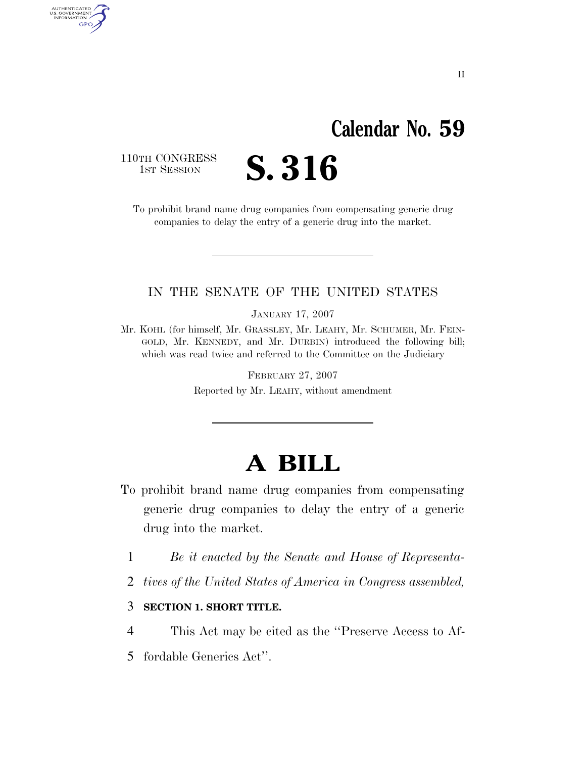# **Calendar No. 59**

110TH CONGRESS<br>1st Session

AUTHENTICATED<br>U.S. GOVERNMENT<br>INFORMATION **GPO** 

S. 316

To prohibit brand name drug companies from compensating generic drug companies to delay the entry of a generic drug into the market.

### IN THE SENATE OF THE UNITED STATES

JANUARY 17, 2007

Mr. KOHL (for himself, Mr. GRASSLEY, Mr. LEAHY, Mr. SCHUMER, Mr. FEIN-GOLD, Mr. KENNEDY, and Mr. DURBIN) introduced the following bill; which was read twice and referred to the Committee on the Judiciary

> FEBRUARY 27, 2007 Reported by Mr. LEAHY, without amendment

# **A BILL**

- To prohibit brand name drug companies from compensating generic drug companies to delay the entry of a generic drug into the market.
	- 1 *Be it enacted by the Senate and House of Representa-*
	- 2 *tives of the United States of America in Congress assembled,*
	- 3 **SECTION 1. SHORT TITLE.**
	- 4 This Act may be cited as the ''Preserve Access to Af-
	- 5 fordable Generics Act''.

II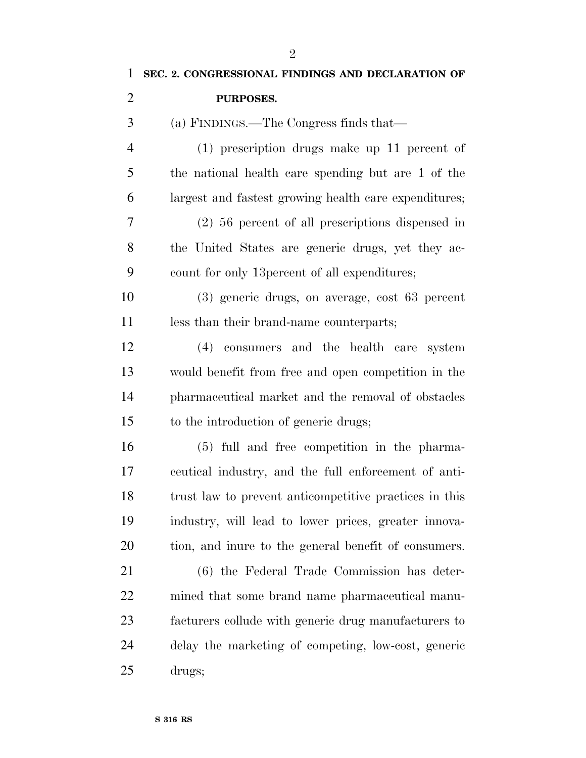| 1              | SEC. 2. CONGRESSIONAL FINDINGS AND DECLARATION OF      |
|----------------|--------------------------------------------------------|
| $\overline{2}$ | PURPOSES.                                              |
| 3              | (a) FINDINGS.—The Congress finds that—                 |
| $\overline{4}$ | $(1)$ prescription drugs make up 11 percent of         |
| 5              | the national health care spending but are 1 of the     |
| 6              | largest and fastest growing health care expenditures;  |
| $\overline{7}$ | $(2)$ 56 percent of all prescriptions dispensed in     |
| 8              | the United States are generic drugs, yet they ac-      |
| 9              | count for only 13 percent of all expenditures;         |
| 10             | (3) generic drugs, on average, cost 63 percent         |
| 11             | less than their brand-name counterparts;               |
| 12             | (4) consumers and the health care system               |
| 13             | would benefit from free and open competition in the    |
| 14             | pharmaceutical market and the removal of obstacles     |
| 15             | to the introduction of generic drugs;                  |
| 16             | (5) full and free competition in the pharma-           |
| 17             | ceutical industry, and the full enforcement of anti-   |
| 18             | trust law to prevent anticompetitive practices in this |
| 19             | industry, will lead to lower prices, greater innova-   |
| 20             | tion, and inure to the general benefit of consumers.   |
| 21             | (6) the Federal Trade Commission has deter-            |
| 22             | mined that some brand name pharmaceutical manu-        |
| 23             | facturers collude with generic drug manufacturers to   |
| 24             | delay the marketing of competing, low-cost, generic    |
| 25             | drugs;                                                 |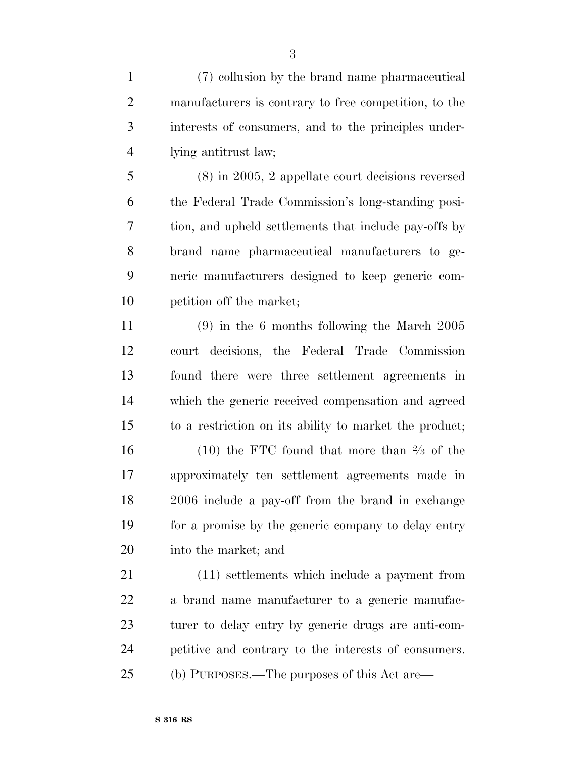(7) collusion by the brand name pharmaceutical manufacturers is contrary to free competition, to the interests of consumers, and to the principles under-lying antitrust law;

 (8) in 2005, 2 appellate court decisions reversed the Federal Trade Commission's long-standing posi- tion, and upheld settlements that include pay-offs by brand name pharmaceutical manufacturers to ge- neric manufacturers designed to keep generic com-petition off the market;

 (9) in the 6 months following the March 2005 court decisions, the Federal Trade Commission found there were three settlement agreements in which the generic received compensation and agreed to a restriction on its ability to market the product; 16 (10) the FTC found that more than  $\frac{2}{3}$  of the approximately ten settlement agreements made in 2006 include a pay-off from the brand in exchange for a promise by the generic company to delay entry

into the market; and

 (11) settlements which include a payment from a brand name manufacturer to a generic manufac- turer to delay entry by generic drugs are anti-com- petitive and contrary to the interests of consumers. (b) PURPOSES.—The purposes of this Act are—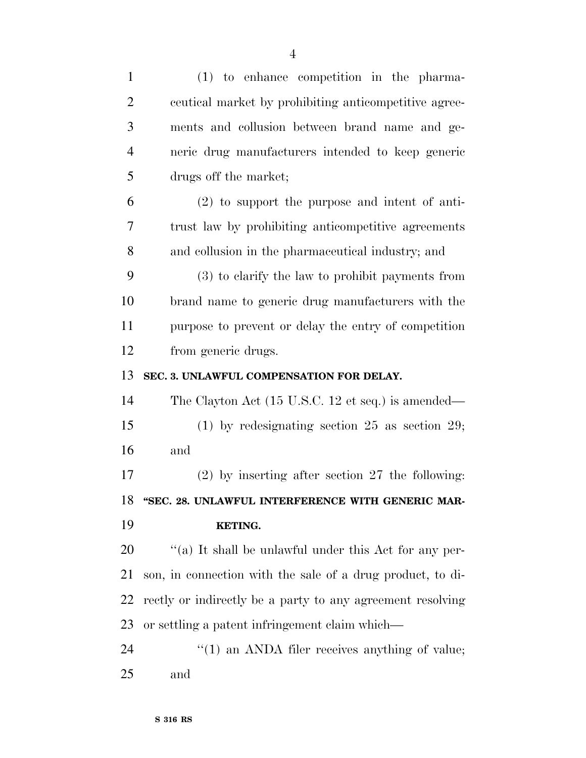| $\mathbf{1}$   | $(1)$ to enhance competition in the pharma-                |
|----------------|------------------------------------------------------------|
| $\overline{2}$ | ceutical market by prohibiting anticompetitive agree-      |
| 3              | ments and collusion between brand name and ge-             |
| $\overline{4}$ | neric drug manufacturers intended to keep generic          |
| 5              | drugs off the market;                                      |
| 6              | $(2)$ to support the purpose and intent of anti-           |
| 7              | trust law by prohibiting anticompetitive agreements        |
| 8              | and collusion in the pharmaceutical industry; and          |
| 9              | (3) to clarify the law to prohibit payments from           |
| 10             | brand name to generic drug manufacturers with the          |
| 11             | purpose to prevent or delay the entry of competition       |
| 12             | from generic drugs.                                        |
| 13             | SEC. 3. UNLAWFUL COMPENSATION FOR DELAY.                   |
| 14             | The Clayton Act (15 U.S.C. 12 et seq.) is amended—         |
| 15             | $(1)$ by redesignating section 25 as section 29;           |
| 16             | and                                                        |
| 17             | $(2)$ by inserting after section 27 the following:         |
| 18             | "SEC. 28. UNLAWFUL INTERFERENCE WITH GENERIC MAR-          |
| 19             | KETING.                                                    |
| 20             | "(a) It shall be unlawful under this Act for any per-      |
| 21             | son, in connection with the sale of a drug product, to di- |
| 22             | rectly or indirectly be a party to any agreement resolving |
| 23             | or settling a patent infringement claim which—             |
| 24             | $\cdot\cdot(1)$ an ANDA filer receives anything of value;  |
| 25             | and                                                        |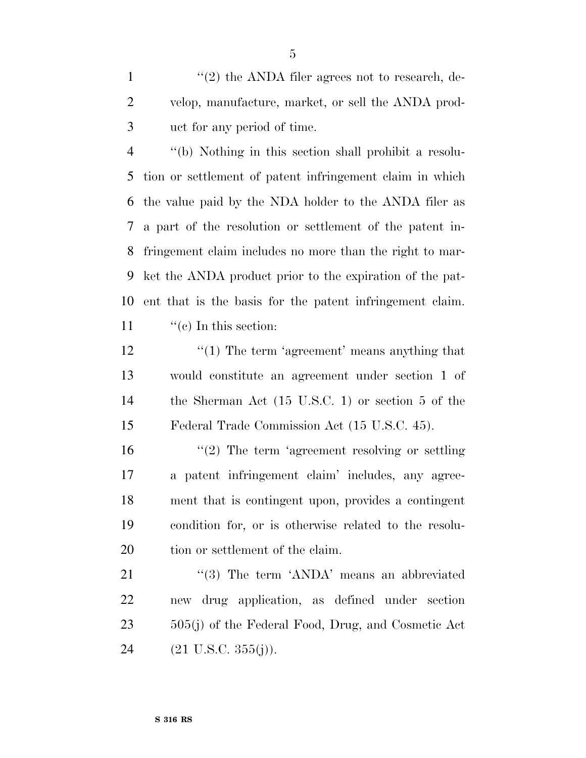1 ''(2) the ANDA filer agrees not to research, de- velop, manufacture, market, or sell the ANDA prod-uct for any period of time.

 ''(b) Nothing in this section shall prohibit a resolu- tion or settlement of patent infringement claim in which the value paid by the NDA holder to the ANDA filer as a part of the resolution or settlement of the patent in- fringement claim includes no more than the right to mar- ket the ANDA product prior to the expiration of the pat- ent that is the basis for the patent infringement claim.  $\lq($ c) In this section:

12 ''(1) The term 'agreement' means anything that would constitute an agreement under section 1 of the Sherman Act (15 U.S.C. 1) or section 5 of the Federal Trade Commission Act (15 U.S.C. 45).

16 ''(2) The term 'agreement resolving or settling a patent infringement claim' includes, any agree- ment that is contingent upon, provides a contingent condition for, or is otherwise related to the resolu-20 tion or settlement of the claim.

21 ''(3) The term 'ANDA' means an abbreviated new drug application, as defined under section 505(j) of the Federal Food, Drug, and Cosmetic Act  $(21 \text{ U.S.C. } 355(j)).$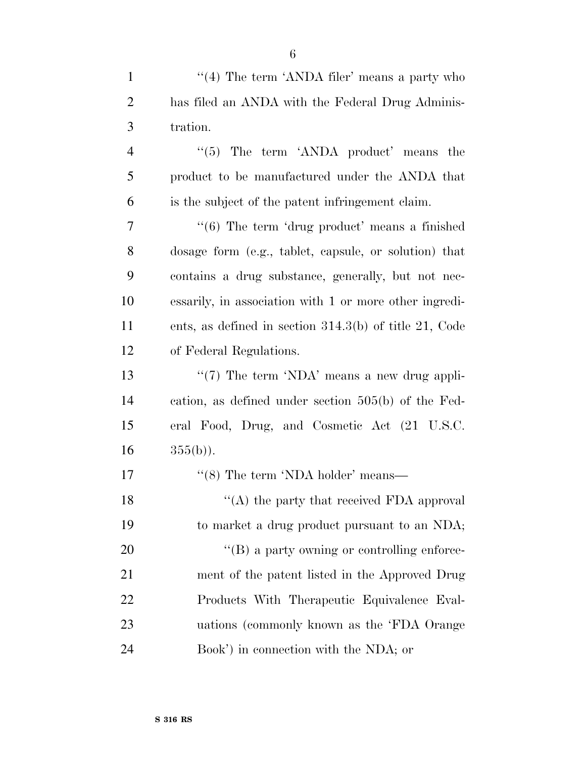| $\overline{2}$ | has filed an ANDA with the Federal Drug Adminis-            |
|----------------|-------------------------------------------------------------|
| 3              | tration.                                                    |
| $\overline{4}$ | $\cdot\cdot$ (5) The term $'ANDA$ product' means the        |
| 5              | product to be manufactured under the ANDA that              |
| 6              | is the subject of the patent infringement claim.            |
| 7              | $\cdot\cdot(6)$ The term 'drug product' means a finished    |
| 8              | dosage form (e.g., tablet, capsule, or solution) that       |
| 9              | contains a drug substance, generally, but not nec-          |
| 10             | essarily, in association with 1 or more other ingredi-      |
| 11             | ents, as defined in section $314.3(b)$ of title $21$ , Code |
| 12             | of Federal Regulations.                                     |
| 13             | " $(7)$ The term 'NDA' means a new drug appli-              |
| 14             | cation, as defined under section $505(b)$ of the Fed-       |
| 15             | eral Food, Drug, and Cosmetic Act (21 U.S.C.                |
| 16             | $355(b)$ ).                                                 |
| 17             | "(8) The term 'NDA holder' means—                           |
| 18             | "(A) the party that received FDA approval                   |
| 19             | to market a drug product pursuant to an NDA;                |
| 20             | $\lq\lq (B)$ a party owning or controlling enforce-         |
| 21             | ment of the patent listed in the Approved Drug              |
| 22             | Products With Therapeutic Equivalence Eval-                 |
| 23             | uations (commonly known as the 'FDA Orange                  |
| 24             | Book') in connection with the NDA; or                       |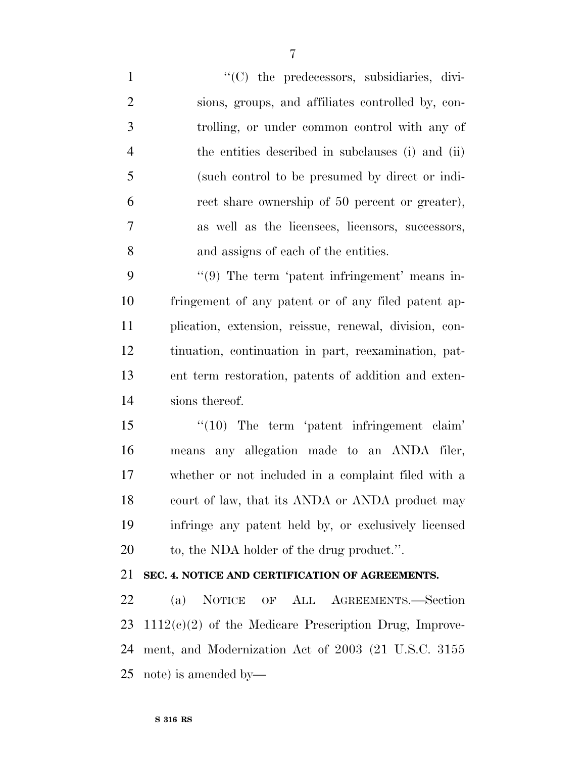$\langle ^{\prime}(C) \rangle$  the predecessors, subsidiaries, divi- sions, groups, and affiliates controlled by, con- trolling, or under common control with any of the entities described in subclauses (i) and (ii) (such control to be presumed by direct or indi- rect share ownership of 50 percent or greater), as well as the licensees, licensors, successors, and assigns of each of the entities.

9 "(9) The term 'patent infringement' means in- fringement of any patent or of any filed patent ap- plication, extension, reissue, renewal, division, con- tinuation, continuation in part, reexamination, pat- ent term restoration, patents of addition and exten-sions thereof.

15 '(10) The term 'patent infringement claim' means any allegation made to an ANDA filer, whether or not included in a complaint filed with a court of law, that its ANDA or ANDA product may infringe any patent held by, or exclusively licensed 20 to, the NDA holder of the drug product.".

## **SEC. 4. NOTICE AND CERTIFICATION OF AGREEMENTS.**

 (a) NOTICE OF ALL AGREEMENTS.—Section 1112(c)(2) of the Medicare Prescription Drug, Improve- ment, and Modernization Act of 2003 (21 U.S.C. 3155 note) is amended by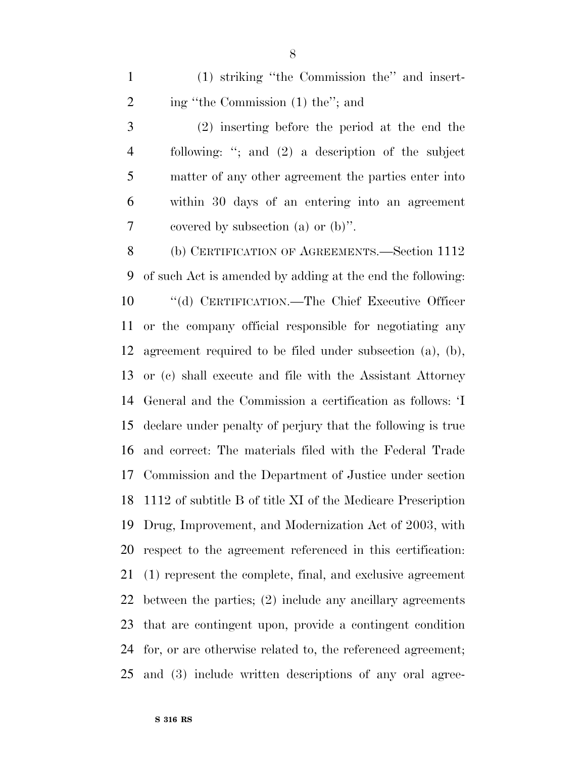(1) striking ''the Commission the'' and insert-2 ing "the Commission (1) the"; and

 (2) inserting before the period at the end the following: ''; and (2) a description of the subject matter of any other agreement the parties enter into within 30 days of an entering into an agreement covered by subsection (a) or (b)''.

8 (b) CERTIFICATION OF AGREEMENTS.—Section 1112 of such Act is amended by adding at the end the following: ''(d) CERTIFICATION.—The Chief Executive Officer or the company official responsible for negotiating any agreement required to be filed under subsection (a), (b), or (c) shall execute and file with the Assistant Attorney General and the Commission a certification as follows: 'I declare under penalty of perjury that the following is true and correct: The materials filed with the Federal Trade Commission and the Department of Justice under section 1112 of subtitle B of title XI of the Medicare Prescription Drug, Improvement, and Modernization Act of 2003, with respect to the agreement referenced in this certification: (1) represent the complete, final, and exclusive agreement between the parties; (2) include any ancillary agreements that are contingent upon, provide a contingent condition for, or are otherwise related to, the referenced agreement; and (3) include written descriptions of any oral agree-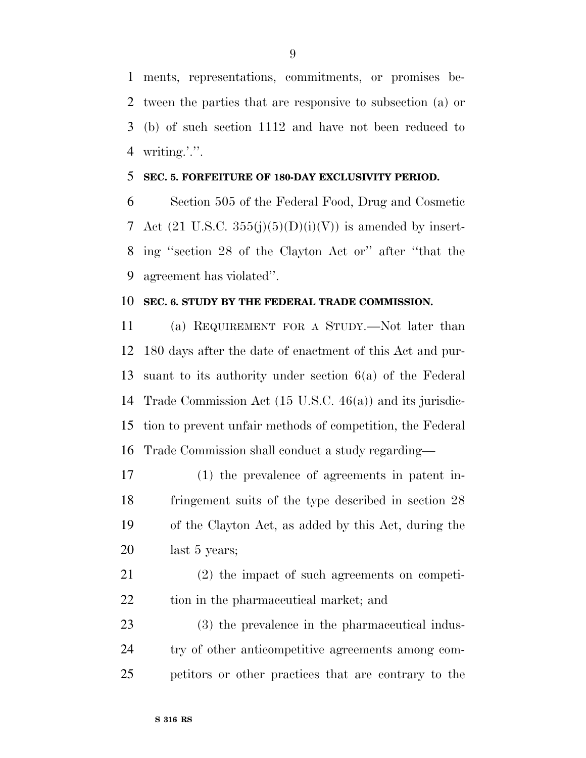ments, representations, commitments, or promises be- tween the parties that are responsive to subsection (a) or (b) of such section 1112 and have not been reduced to 4 writing.'.''.

#### **SEC. 5. FORFEITURE OF 180-DAY EXCLUSIVITY PERIOD.**

 Section 505 of the Federal Food, Drug and Cosmetic 7 Act  $(21 \text{ U.S.C. } 355(i)(5)(D)(i)(V))$  is amended by insert- ing ''section 28 of the Clayton Act or'' after ''that the agreement has violated''.

#### **SEC. 6. STUDY BY THE FEDERAL TRADE COMMISSION.**

 (a) REQUIREMENT FOR A STUDY.—Not later than 180 days after the date of enactment of this Act and pur- suant to its authority under section 6(a) of the Federal Trade Commission Act (15 U.S.C. 46(a)) and its jurisdic- tion to prevent unfair methods of competition, the Federal Trade Commission shall conduct a study regarding—

 (1) the prevalence of agreements in patent in- fringement suits of the type described in section 28 of the Clayton Act, as added by this Act, during the last 5 years;

 (2) the impact of such agreements on competi-tion in the pharmaceutical market; and

 (3) the prevalence in the pharmaceutical indus- try of other anticompetitive agreements among com-petitors or other practices that are contrary to the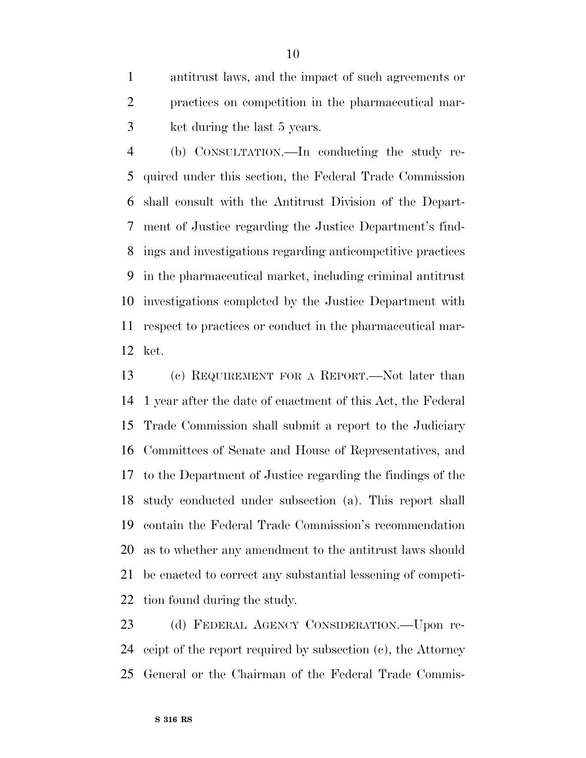antitrust laws, and the impact of such agreements or practices on competition in the pharmaceutical mar-ket during the last 5 years.

 (b) CONSULTATION.—In conducting the study re- quired under this section, the Federal Trade Commission shall consult with the Antitrust Division of the Depart- ment of Justice regarding the Justice Department's find- ings and investigations regarding anticompetitive practices in the pharmaceutical market, including criminal antitrust investigations completed by the Justice Department with respect to practices or conduct in the pharmaceutical mar-ket.

 (c) REQUIREMENT FOR A REPORT.—Not later than 1 year after the date of enactment of this Act, the Federal Trade Commission shall submit a report to the Judiciary Committees of Senate and House of Representatives, and to the Department of Justice regarding the findings of the study conducted under subsection (a). This report shall contain the Federal Trade Commission's recommendation as to whether any amendment to the antitrust laws should be enacted to correct any substantial lessening of competi-tion found during the study.

 (d) FEDERAL AGENCY CONSIDERATION.—Upon re- ceipt of the report required by subsection (c), the Attorney General or the Chairman of the Federal Trade Commis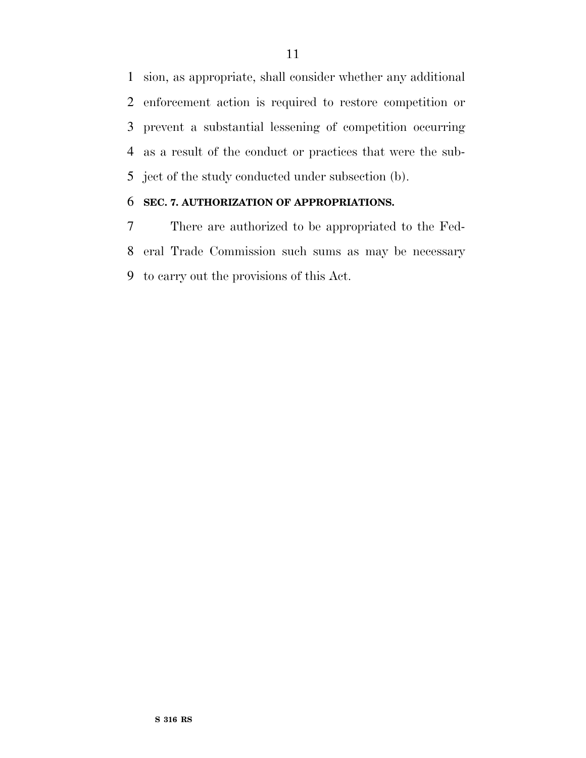sion, as appropriate, shall consider whether any additional enforcement action is required to restore competition or prevent a substantial lessening of competition occurring as a result of the conduct or practices that were the sub-ject of the study conducted under subsection (b).

## **SEC. 7. AUTHORIZATION OF APPROPRIATIONS.**

 There are authorized to be appropriated to the Fed- eral Trade Commission such sums as may be necessary to carry out the provisions of this Act.